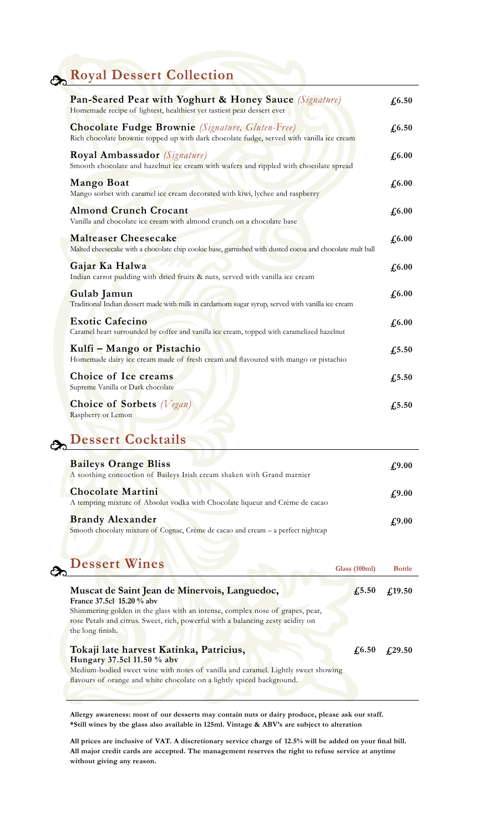## **Royal Dessert Collection**

| Pan-Seared Pear with Yoghurt & Honey Sauce (Signature)<br>Homemade recipe of lightest, healthiest yet tastiest pear dessert ever                     | £6.50                        |
|------------------------------------------------------------------------------------------------------------------------------------------------------|------------------------------|
| <b>Chocolate Fudge Brownie</b> (Signature, Gluten-Free)<br>Rich chocolate brownie topped up with dark chocolate fudge, served with vanilla ice cream | $\sqrt{6.50}$                |
| Royal Ambassador (Signature)<br>Smooth chocolate and hazelnut ice cream with wafers and rippled with chocolate spread                                | $\pounds$ 6.00               |
| <b>Mango Boat</b><br>Mango sorbet with caramel ice cream decorated with kiwi, lychee and raspberry                                                   | $\pounds$ 6.00               |
| <b>Almond Crunch Crocant</b><br>Vanilla and chocolate ice cream with almond crunch on a chocolate base                                               | $\textbf{\textsterling}6.00$ |
| <b>Malteaser Cheesecake</b><br>Malted cheesecake with a chocolate chip cookie base, garnished with dusted cocoa and chocolate malt ball              | £6.00                        |
| Gajar Ka Halwa<br>Indian carrot pudding with dried fruits & nuts, served with vanilla ice cream                                                      | $f_{0.00}$                   |
| Gulab Jamun<br>Traditional Indian dessert made with milk in cardamom sugar syrup, served with vanilla ice cream                                      | $f_{0.00}$                   |
| <b>Exotic Cafecino</b><br>Caramel heart surrounded by coffee and vanilla ice cream, topped with caramelized hazelnut                                 | £6.00                        |
| Kulfi - Mango or Pistachio<br>Homemade dairy ice cream made of fresh cream and flavoured with mango or pistachio                                     | $f_{1}5.50$                  |
| Choice of Ice creams<br>Supreme Vanilla or Dark chocolate                                                                                            | $f_{1}5.50$                  |
| <b>Choice of Sorbets</b> (Vegan)<br>Raspberry or Lemon                                                                                               | $f_{1}5.50$                  |

## **Dessert Cocktails**

| <b>Baileys Orange Bliss</b><br>A soothing concoction of Baileys Irish cream shaken with Grand marnier        | £9.00 |
|--------------------------------------------------------------------------------------------------------------|-------|
| <b>Chocolate Martini</b><br>A tempting mixture of Absolut vodka with Chocolate liqueur and Crème de cacao    | £9.00 |
| <b>Brandy Alexander</b><br>Smooth chocolaty mixture of Cognac, Crème de cacao and cream – a perfect nightcap | £9.00 |

## **Dessert Wines**

| <b>Dessert Wines</b>                                                                                                                                                                                                                                               | Glass (100ml)  | <b>Bottle</b>  |
|--------------------------------------------------------------------------------------------------------------------------------------------------------------------------------------------------------------------------------------------------------------------|----------------|----------------|
| Muscat de Saint Jean de Minervois, Languedoc,<br>France 37.5cl 15.20 % aby<br>Shimmering golden in the glass with an intense, complex nose of grapes, pear,<br>rose Petals and citrus. Sweet, rich, powerful with a balancing zesty acidity on<br>the long finish. | $\sqrt{.5.50}$ | f(19.50)       |
| Tokaji late harvest Katinka, Patricius,<br>Hungary 37.5cl 11.50 % aby<br>Medium-bodied sweet wine with notes of vanilla and caramel. Lightly sweet showing<br>flavours of orange and white chocolate on a lightly spiced background.                               | $\sqrt{6.50}$  | $\sqrt{29.50}$ |

**Allergy awareness: most of our desserts may contain nuts or dairy produce, please ask our staff. \*Still wines by the glass also available in 125ml. Vintage & ABV's are subject to alteration**

**All prices are inclusive of vat. A discretionary service charge of 12.5% will be added on your final bill. All major credit cards are accepted. The management reserves the right to refuse service at anytime without giving any reason.**